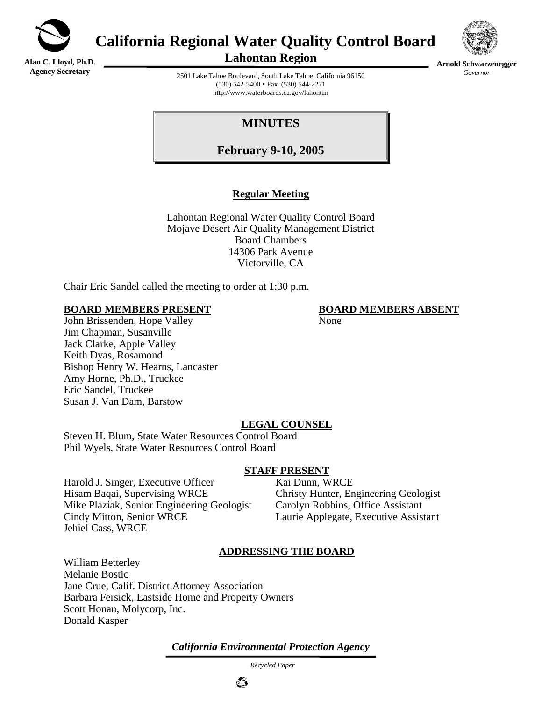

**California Regional Water Quality Control Board** 

**Alan C. Lloyd, Ph.D. Agency Secretary**

**Lahontan Region** 



**Arnold Schwarzenegger** *Governor* 

2501 Lake Tahoe Boulevard, South Lake Tahoe, California 96150  $(530)$  542-5400 • Fax  $(530)$  544-2271 http://www.waterboards.ca.gov/lahontan

# **MINUTES**

**February 9-10, 2005**

## **Regular Meeting**

Lahontan Regional Water Quality Control Board Mojave Desert Air Quality Management District Board Chambers 14306 Park Avenue Victorville, CA

Chair Eric Sandel called the meeting to order at 1:30 p.m.

#### **BOARD MEMBERS PRESENT BOARD MEMBERS ABSENT**

John Brissenden, Hope Valley None Jim Chapman, Susanville Jack Clarke, Apple Valley Keith Dyas, Rosamond Bishop Henry W. Hearns, Lancaster Amy Horne, Ph.D., Truckee Eric Sandel, Truckee Susan J. Van Dam, Barstow

## **LEGAL COUNSEL**

Steven H. Blum, State Water Resources Control Board Phil Wyels, State Water Resources Control Board

#### **STAFF PRESENT**

Harold J. Singer, Executive Officer Kai Dunn, WRCE Hisam Baqai, Supervising WRCE<br>
Mike Plaziak, Senior Engineering Geologist<br>
Carolyn Robbins, Office Assistant Mike Plaziak, Senior Engineering Geologist Cindy Mitton, Senior WRCE Laurie Applegate, Executive Assistant Jehiel Cass, WRCE

## **ADDRESSING THE BOARD**

William Betterley Melanie Bostic Jane Crue, Calif. District Attorney Association Barbara Fersick, Eastside Home and Property Owners Scott Honan, Molycorp, Inc. Donald Kasper

*California Environmental Protection Agency*

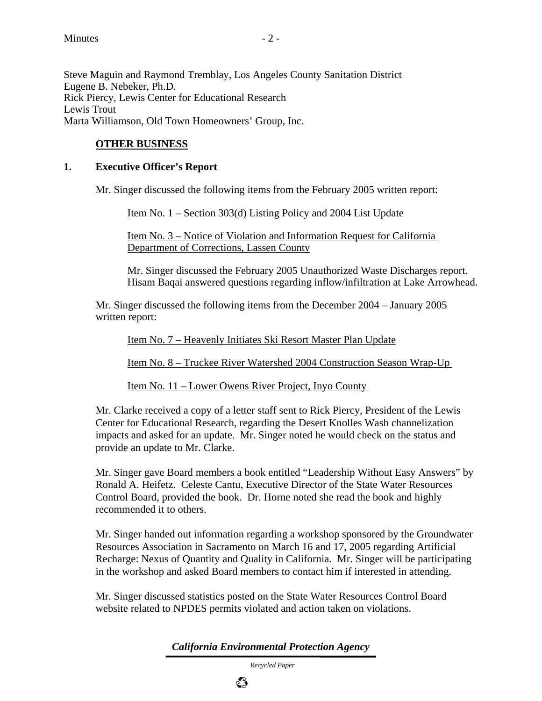Steve Maguin and Raymond Tremblay, Los Angeles County Sanitation District Eugene B. Nebeker, Ph.D. Rick Piercy, Lewis Center for Educational Research Lewis Trout Marta Williamson, Old Town Homeowners' Group, Inc.

## **OTHER BUSINESS**

### **1. Executive Officer's Report**

Mr. Singer discussed the following items from the February 2005 written report:

Item No. 1 – Section 303(d) Listing Policy and 2004 List Update

Item No. 3 – Notice of Violation and Information Request for California Department of Corrections, Lassen County

Mr. Singer discussed the February 2005 Unauthorized Waste Discharges report. Hisam Baqai answered questions regarding inflow/infiltration at Lake Arrowhead.

Mr. Singer discussed the following items from the December 2004 – January 2005 written report:

Item No. 7 – Heavenly Initiates Ski Resort Master Plan Update

Item No. 8 – Truckee River Watershed 2004 Construction Season Wrap-Up

Item No. 11 – Lower Owens River Project, Inyo County

Mr. Clarke received a copy of a letter staff sent to Rick Piercy, President of the Lewis Center for Educational Research, regarding the Desert Knolles Wash channelization impacts and asked for an update. Mr. Singer noted he would check on the status and provide an update to Mr. Clarke.

Mr. Singer gave Board members a book entitled "Leadership Without Easy Answers" by Ronald A. Heifetz. Celeste Cantu, Executive Director of the State Water Resources Control Board, provided the book. Dr. Horne noted she read the book and highly recommended it to others.

Mr. Singer handed out information regarding a workshop sponsored by the Groundwater Resources Association in Sacramento on March 16 and 17, 2005 regarding Artificial Recharge: Nexus of Quantity and Quality in California. Mr. Singer will be participating in the workshop and asked Board members to contact him if interested in attending.

Mr. Singer discussed statistics posted on the State Water Resources Control Board website related to NPDES permits violated and action taken on violations.

*California Environmental Protection Agency*

 *Recycled Paper*



 $\mathbb{C}^{\infty}_{\mathcal{P}}$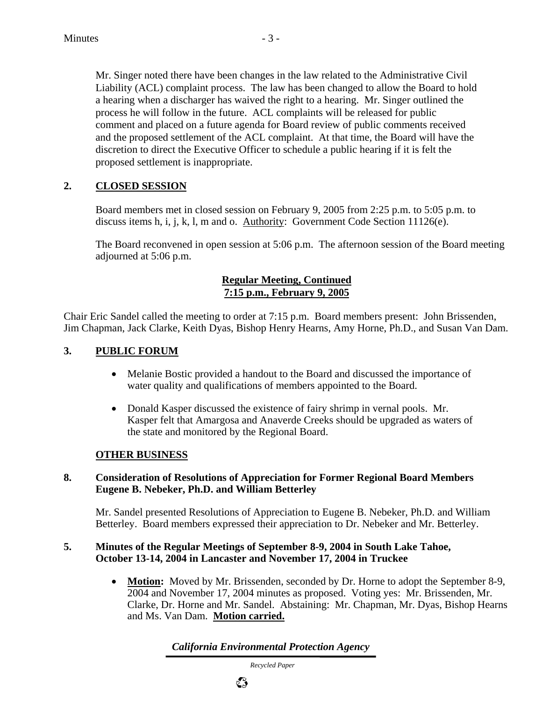Mr. Singer noted there have been changes in the law related to the Administrative Civil Liability (ACL) complaint process. The law has been changed to allow the Board to hold a hearing when a discharger has waived the right to a hearing. Mr. Singer outlined the process he will follow in the future. ACL complaints will be released for public comment and placed on a future agenda for Board review of public comments received and the proposed settlement of the ACL complaint. At that time, the Board will have the discretion to direct the Executive Officer to schedule a public hearing if it is felt the proposed settlement is inappropriate.

## **2. CLOSED SESSION**

Board members met in closed session on February 9, 2005 from 2:25 p.m. to 5:05 p.m. to discuss items h, i, j, k, l, m and o. Authority: Government Code Section  $11126(e)$ .

The Board reconvened in open session at 5:06 p.m. The afternoon session of the Board meeting adjourned at 5:06 p.m.

### **Regular Meeting, Continued 7:15 p.m., February 9, 2005**

Chair Eric Sandel called the meeting to order at 7:15 p.m. Board members present: John Brissenden, Jim Chapman, Jack Clarke, Keith Dyas, Bishop Henry Hearns, Amy Horne, Ph.D., and Susan Van Dam.

## **3. PUBLIC FORUM**

- Melanie Bostic provided a handout to the Board and discussed the importance of water quality and qualifications of members appointed to the Board.
- Donald Kasper discussed the existence of fairy shrimp in vernal pools. Mr. Kasper felt that Amargosa and Anaverde Creeks should be upgraded as waters of the state and monitored by the Regional Board.

## **OTHER BUSINESS**

#### **8. Consideration of Resolutions of Appreciation for Former Regional Board Members Eugene B. Nebeker, Ph.D. and William Betterley**

Mr. Sandel presented Resolutions of Appreciation to Eugene B. Nebeker, Ph.D. and William Betterley. Board members expressed their appreciation to Dr. Nebeker and Mr. Betterley.

#### **5. Minutes of the Regular Meetings of September 8-9, 2004 in South Lake Tahoe, October 13-14, 2004 in Lancaster and November 17, 2004 in Truckee**

• **Motion:** Moved by Mr. Brissenden, seconded by Dr. Horne to adopt the September 8-9, 2004 and November 17, 2004 minutes as proposed. Voting yes: Mr. Brissenden, Mr. Clarke, Dr. Horne and Mr. Sandel. Abstaining: Mr. Chapman, Mr. Dyas, Bishop Hearns and Ms. Van Dam. **Motion carried.**

*California Environmental Protection Agency*

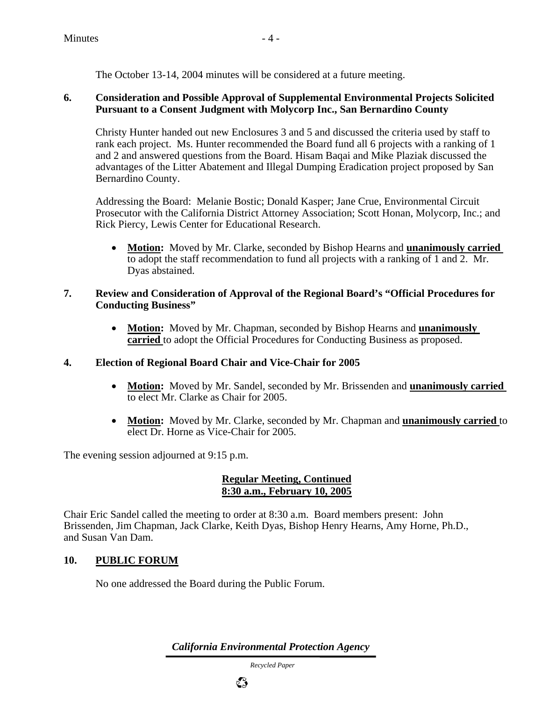The October 13-14, 2004 minutes will be considered at a future meeting.

## **6. Consideration and Possible Approval of Supplemental Environmental Projects Solicited Pursuant to a Consent Judgment with Molycorp Inc., San Bernardino County**

Christy Hunter handed out new Enclosures 3 and 5 and discussed the criteria used by staff to rank each project. Ms. Hunter recommended the Board fund all 6 projects with a ranking of 1 and 2 and answered questions from the Board. Hisam Baqai and Mike Plaziak discussed the advantages of the Litter Abatement and Illegal Dumping Eradication project proposed by San Bernardino County.

Addressing the Board: Melanie Bostic; Donald Kasper; Jane Crue, Environmental Circuit Prosecutor with the California District Attorney Association; Scott Honan, Molycorp, Inc.; and Rick Piercy, Lewis Center for Educational Research.

• **Motion:** Moved by Mr. Clarke, seconded by Bishop Hearns and **unanimously carried**  to adopt the staff recommendation to fund all projects with a ranking of 1 and 2. Mr. Dyas abstained.

#### **7. Review and Consideration of Approval of the Regional Board's "Official Procedures for Conducting Business"**

• **Motion:** Moved by Mr. Chapman, seconded by Bishop Hearns and **unanimously carried** to adopt the Official Procedures for Conducting Business as proposed.

## **4. Election of Regional Board Chair and Vice-Chair for 2005**

- **Motion:** Moved by Mr. Sandel, seconded by Mr. Brissenden and **unanimously carried**  to elect Mr. Clarke as Chair for 2005.
- **Motion:** Moved by Mr. Clarke, seconded by Mr. Chapman and **unanimously carried** to elect Dr. Horne as Vice-Chair for 2005.

The evening session adjourned at 9:15 p.m.

## **Regular Meeting, Continued 8:30 a.m., February 10, 2005**

Chair Eric Sandel called the meeting to order at 8:30 a.m. Board members present: John Brissenden, Jim Chapman, Jack Clarke, Keith Dyas, Bishop Henry Hearns, Amy Horne, Ph.D., and Susan Van Dam.

## **10. PUBLIC FORUM**

No one addressed the Board during the Public Forum.

*California Environmental Protection Agency*

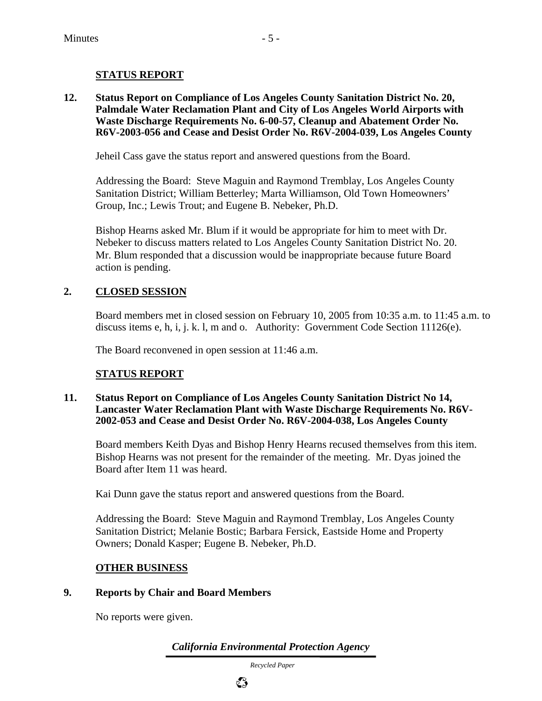## **STATUS REPORT**

**12. Status Report on Compliance of Los Angeles County Sanitation District No. 20, Palmdale Water Reclamation Plant and City of Los Angeles World Airports with Waste Discharge Requirements No. 6-00-57, Cleanup and Abatement Order No. R6V-2003-056 and Cease and Desist Order No. R6V-2004-039, Los Angeles County** 

Jeheil Cass gave the status report and answered questions from the Board.

Addressing the Board: Steve Maguin and Raymond Tremblay, Los Angeles County Sanitation District; William Betterley; Marta Williamson, Old Town Homeowners' Group, Inc.; Lewis Trout; and Eugene B. Nebeker, Ph.D.

Bishop Hearns asked Mr. Blum if it would be appropriate for him to meet with Dr. Nebeker to discuss matters related to Los Angeles County Sanitation District No. 20. Mr. Blum responded that a discussion would be inappropriate because future Board action is pending.

## **2. CLOSED SESSION**

Board members met in closed session on February 10, 2005 from 10:35 a.m. to 11:45 a.m. to discuss items e, h, i, j. k. l, m and o. Authority: Government Code Section 11126(e).

The Board reconvened in open session at 11:46 a.m.

## **STATUS REPORT**

#### **11. Status Report on Compliance of Los Angeles County Sanitation District No 14, Lancaster Water Reclamation Plant with Waste Discharge Requirements No. R6V-2002-053 and Cease and Desist Order No. R6V-2004-038, Los Angeles County**

Board members Keith Dyas and Bishop Henry Hearns recused themselves from this item. Bishop Hearns was not present for the remainder of the meeting. Mr. Dyas joined the Board after Item 11 was heard.

Kai Dunn gave the status report and answered questions from the Board.

Addressing the Board: Steve Maguin and Raymond Tremblay, Los Angeles County Sanitation District; Melanie Bostic; Barbara Fersick, Eastside Home and Property Owners; Donald Kasper; Eugene B. Nebeker, Ph.D.

## **OTHER BUSINESS**

#### **9. Reports by Chair and Board Members**

No reports were given.

*California Environmental Protection Agency*